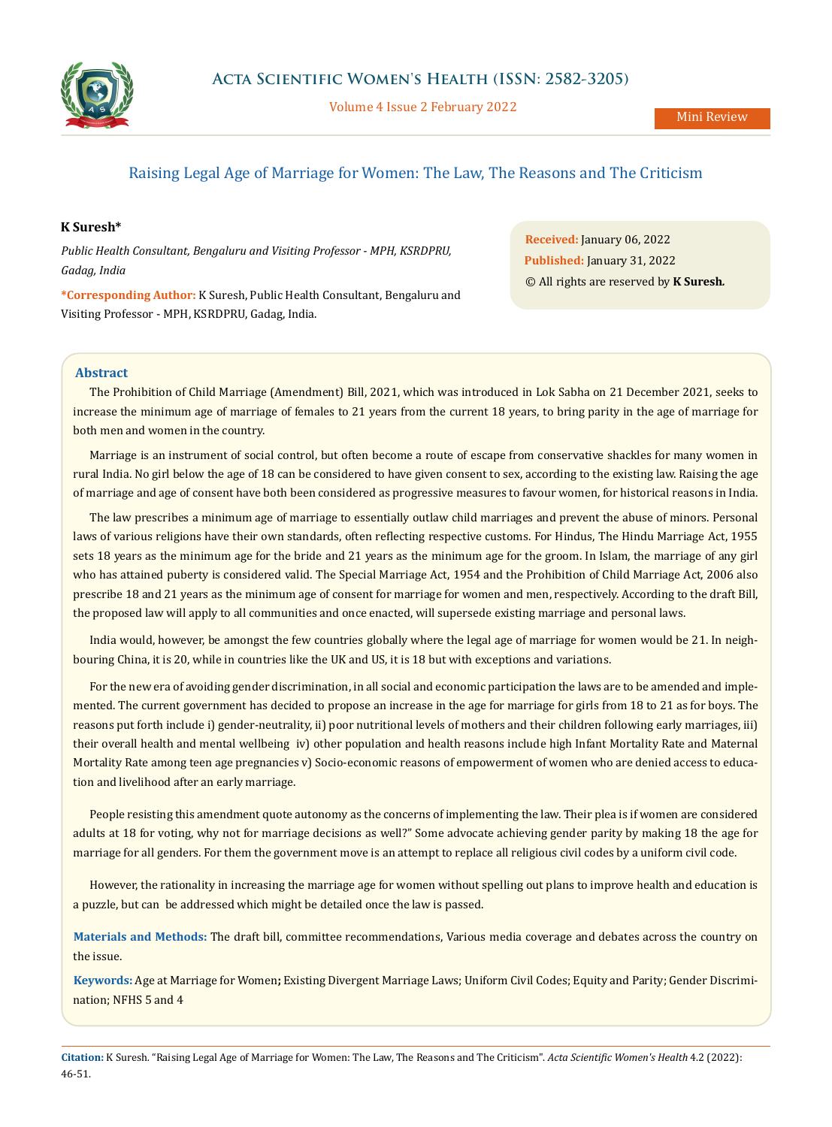

Volume 4 Issue 2 February 2022

# Raising Legal Age of Marriage for Women: The Law, The Reasons and The Criticism

# **K Suresh\***

*Public Health Consultant, Bengaluru and Visiting Professor - MPH, KSRDPRU, Gadag, India*

**\*Corresponding Author:** K Suresh, Public Health Consultant, Bengaluru and Visiting Professor - MPH, KSRDPRU, Gadag, India.

**Received:** January 06, 2022 **Published:** January 31, 2022 © All rights are reserved by **K Suresh***.*

# **Abstract**

The Prohibition of Child Marriage (Amendment) Bill, 2021, which was introduced in Lok Sabha on 21 December 2021, seeks to increase the minimum age of marriage of females to 21 years from the current 18 years, to bring parity in the age of marriage for both men and women in the country.

Marriage is an instrument of social control, but often become a route of escape from conservative shackles for many women in rural India. No girl below the age of 18 can be considered to have given consent to sex, according to the existing law. Raising the age of marriage and age of consent have both been considered as progressive measures to favour women, for historical reasons in India.

The law prescribes a minimum age of marriage to essentially outlaw child marriages and prevent the abuse of minors. Personal laws of various religions have their own standards, often reflecting respective customs. For Hindus, The Hindu Marriage Act, 1955 sets 18 years as the minimum age for the bride and 21 years as the minimum age for the groom. In Islam, the marriage of any girl who has attained puberty is considered valid. The Special Marriage Act, 1954 and the Prohibition of Child Marriage Act, 2006 also prescribe 18 and 21 years as the minimum age of consent for marriage for women and men, respectively. According to the draft Bill, the proposed law will apply to all communities and once enacted, will supersede existing marriage and personal laws.

India would, however, be amongst the few countries globally where the legal age of marriage for women would be 21. In neighbouring China, it is 20, while in countries like the UK and US, it is 18 but with exceptions and variations.

For the new era of avoiding gender discrimination, in all social and economic participation the laws are to be amended and implemented. The current government has decided to propose an increase in the age for marriage for girls from 18 to 21 as for boys. The reasons put forth include i) gender-neutrality, ii) poor nutritional levels of mothers and their children following early marriages, iii) their overall health and mental wellbeing iv) other population and health reasons include high Infant Mortality Rate and Maternal Mortality Rate among teen age pregnancies v) Socio-economic reasons of empowerment of women who are denied access to education and livelihood after an early marriage.

People resisting this amendment quote autonomy as the concerns of implementing the law. Their plea is if women are considered adults at 18 for voting, why not for marriage decisions as well?" Some advocate achieving gender parity by making 18 the age for marriage for all genders. For them the government move is an attempt to replace all religious civil codes by a uniform civil code.

However, the rationality in increasing the marriage age for women without spelling out plans to improve health and education is a puzzle, but can be addressed which might be detailed once the law is passed.

**Materials and Methods:** The draft bill, committee recommendations, Various media coverage and debates across the country on the issue.

**Keywords:** Age at Marriage for Women**;** Existing Divergent Marriage Laws; Uniform Civil Codes; Equity and Parity; Gender Discrimination; NFHS 5 and 4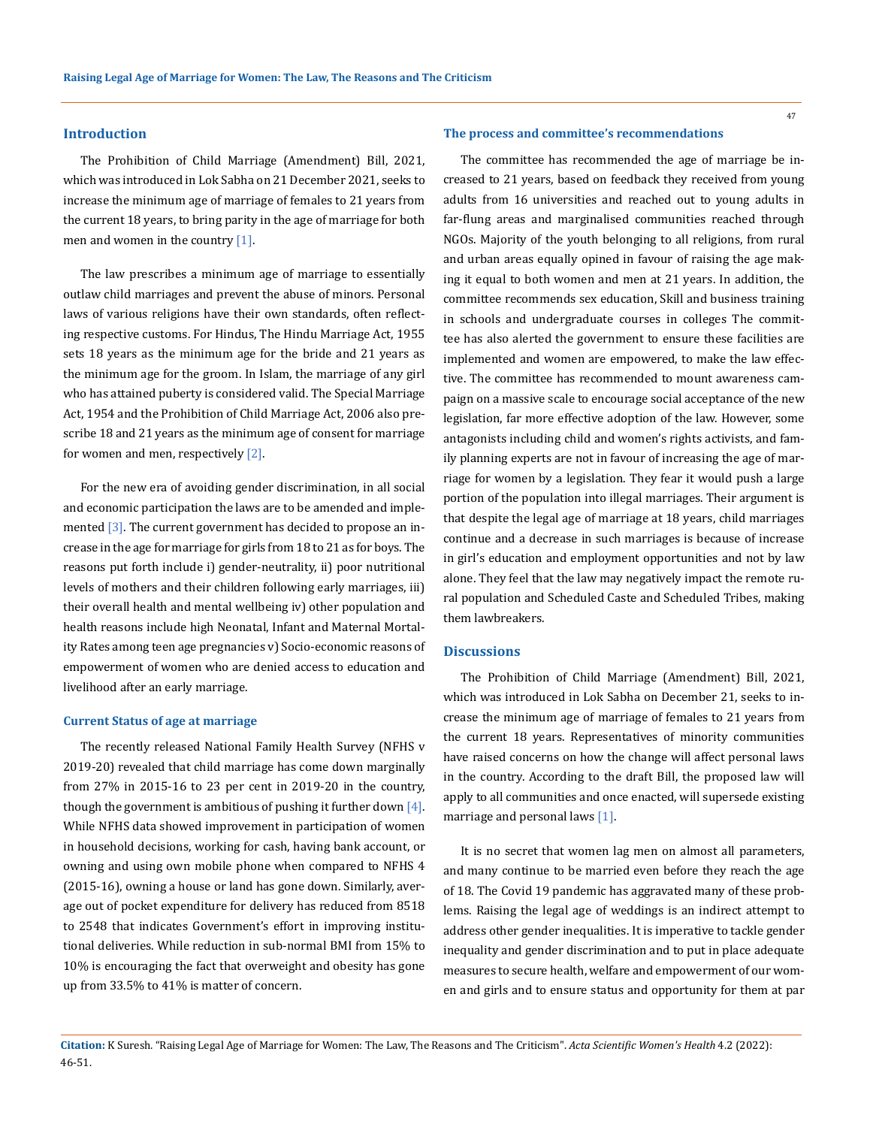### **Introduction**

The Prohibition of Child Marriage (Amendment) Bill, 2021, which was introduced in Lok Sabha on 21 December 2021, seeks to increase the minimum age of marriage of females to 21 years from the current 18 years, to bring parity in the age of marriage for both men and women in the country [1].

The law prescribes a minimum age of marriage to essentially outlaw child marriages and prevent the abuse of minors. Personal laws of various religions have their own standards, often reflecting respective customs. For Hindus, The Hindu Marriage Act, 1955 sets 18 years as the minimum age for the bride and 21 years as the minimum age for the groom. In Islam, the marriage of any girl who has attained puberty is considered valid. The Special Marriage Act, 1954 and the Prohibition of Child Marriage Act, 2006 also prescribe 18 and 21 years as the minimum age of consent for marriage for women and men, respectively [2].

For the new era of avoiding gender discrimination, in all social and economic participation the laws are to be amended and implemented  $[3]$ . The current government has decided to propose an increase in the age for marriage for girls from 18 to 21 as for boys. The reasons put forth include i) gender-neutrality, ii) poor nutritional levels of mothers and their children following early marriages, iii) their overall health and mental wellbeing iv) other population and health reasons include high Neonatal, Infant and Maternal Mortality Rates among teen age pregnancies v) Socio-economic reasons of empowerment of women who are denied access to education and livelihood after an early marriage.

#### **Current Status of age at marriage**

The recently released National Family Health Survey (NFHS v 2019-20) revealed that child marriage has come down marginally from 27% in 2015-16 to 23 per cent in 2019-20 in the country, though the government is ambitious of pushing it further down  $[4]$ . While NFHS data showed improvement in participation of women in household decisions, working for cash, having bank account, or owning and using own mobile phone when compared to NFHS 4 (2015-16), owning a house or land has gone down. Similarly, average out of pocket expenditure for delivery has reduced from 8518 to 2548 that indicates Government's effort in improving institutional deliveries. While reduction in sub-normal BMI from 15% to 10% is encouraging the fact that overweight and obesity has gone up from 33.5% to 41% is matter of concern.

#### **The process and committee's recommendations**

The committee has recommended the age of marriage be increased to 21 years, based on feedback they received from young adults from 16 universities and reached out to young adults in far-flung areas and marginalised communities reached through NGOs. Majority of the youth belonging to all religions, from rural and urban areas equally opined in favour of raising the age making it equal to both women and men at 21 years. In addition, the committee recommends sex education, Skill and business training in schools and undergraduate courses in colleges The committee has also alerted the government to ensure these facilities are implemented and women are empowered, to make the law effective. The committee has recommended to mount awareness campaign on a massive scale to encourage social acceptance of the new legislation, far more effective adoption of the law. However, some antagonists including child and women's rights activists, and family planning experts are not in favour of increasing the age of marriage for women by a legislation. They fear it would push a large portion of the population into illegal marriages. Their argument is that despite the legal age of marriage at 18 years, child marriages continue and a decrease in such marriages is because of increase in girl's education and employment opportunities and not by law alone. They feel that the law may negatively impact the remote rural population and Scheduled Caste and Scheduled Tribes, making them lawbreakers.

### **Discussions**

The Prohibition of Child Marriage (Amendment) Bill, 2021, which was introduced in Lok Sabha on December 21, seeks to increase the minimum age of marriage of females to 21 years from the current 18 years. Representatives of minority communities have raised concerns on how the change will affect personal laws in the country. According to the draft Bill, the proposed law will apply to all communities and once enacted, will supersede existing marriage and personal laws [1].

It is no secret that women lag men on almost all parameters, and many continue to be married even before they reach the age of 18. The Covid 19 pandemic has aggravated many of these problems. Raising the legal age of weddings is an indirect attempt to address other gender inequalities. It is imperative to tackle gender inequality and gender discrimination and to put in place adequate measures to secure health, welfare and empowerment of our women and girls and to ensure status and opportunity for them at par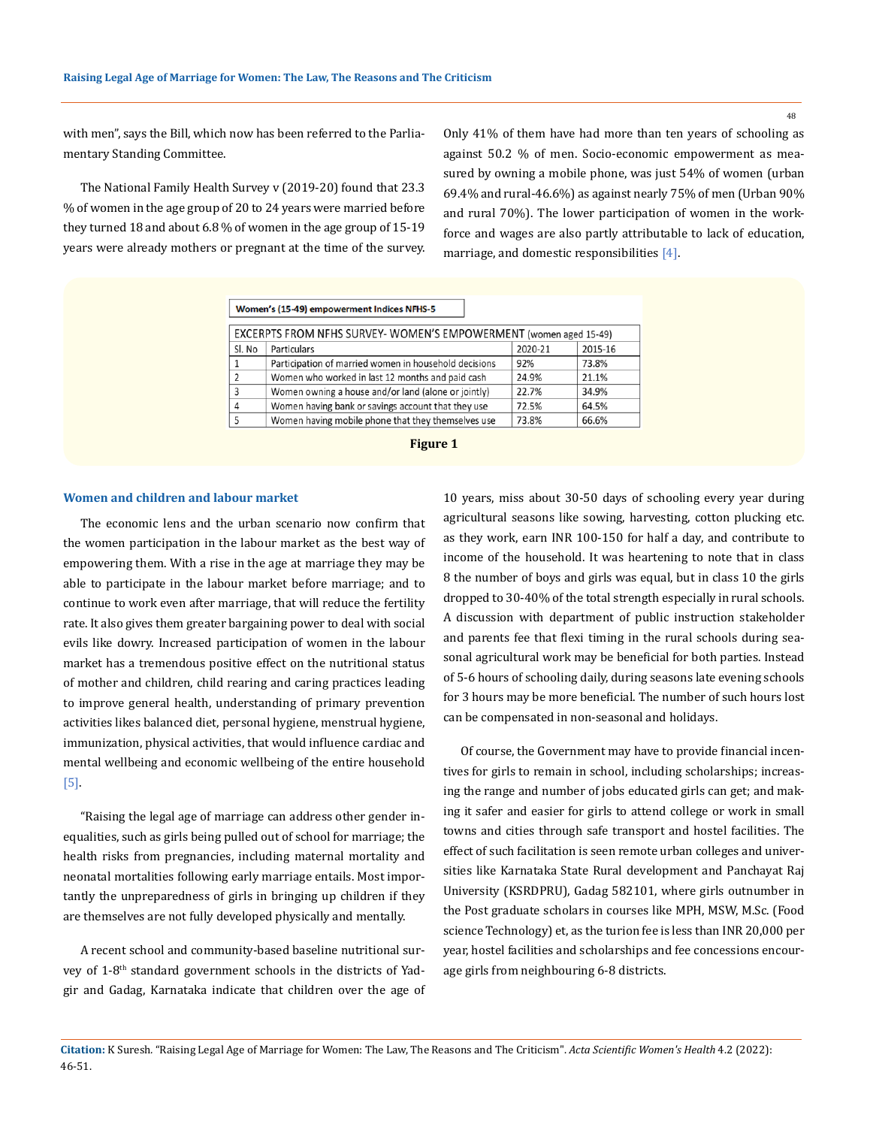48

with men", says the Bill, which now has been referred to the Parliamentary Standing Committee.

The National Family Health Survey v (2019-20) found that 23.3 % of women in the age group of 20 to 24 years were married before they turned 18 and about 6.8 % of women in the age group of 15-19 years were already mothers or pregnant at the time of the survey. Only 41% of them have had more than ten years of schooling as against 50.2 % of men. Socio-economic empowerment as measured by owning a mobile phone, was just 54% of women (urban 69.4% and rural-46.6%) as against nearly 75% of men (Urban 90% and rural 70%). The lower participation of women in the workforce and wages are also partly attributable to lack of education, marriage, and domestic responsibilities [4].

| Women's (15-49) empowerment Indices NFHS-5                        |                                                       |         |         |  |  |  |  |
|-------------------------------------------------------------------|-------------------------------------------------------|---------|---------|--|--|--|--|
| EXCERPTS FROM NFHS SURVEY- WOMEN'S EMPOWERMENT (women aged 15-49) |                                                       |         |         |  |  |  |  |
| Sl. No                                                            | Particulars                                           | 2020-21 | 2015-16 |  |  |  |  |
| 1                                                                 | Participation of married women in household decisions | 92%     | 73.8%   |  |  |  |  |
| $\overline{2}$                                                    | Women who worked in last 12 months and paid cash      | 24.9%   | 21.1%   |  |  |  |  |
| 3                                                                 | Women owning a house and/or land (alone or jointly)   | 22.7%   | 34.9%   |  |  |  |  |
| 4                                                                 | Women having bank or savings account that they use    | 72.5%   | 64.5%   |  |  |  |  |
| 5                                                                 | Women having mobile phone that they themselves use    | 73.8%   | 66.6%   |  |  |  |  |



#### **Women and children and labour market**

The economic lens and the urban scenario now confirm that the women participation in the labour market as the best way of empowering them. With a rise in the age at marriage they may be able to participate in the labour market before marriage; and to continue to work even after marriage, that will reduce the fertility rate. It also gives them greater bargaining power to deal with social evils like dowry. Increased participation of women in the labour market has a tremendous positive effect on the nutritional status of mother and children, child rearing and caring practices leading to improve general health, understanding of primary prevention activities likes balanced diet, personal hygiene, menstrual hygiene, immunization, physical activities, that would influence cardiac and mental wellbeing and economic wellbeing of the entire household [5].

"Raising the legal age of marriage can address other gender inequalities, such as girls being pulled out of school for marriage; the health risks from pregnancies, including maternal mortality and neonatal mortalities following early marriage entails. Most importantly the unpreparedness of girls in bringing up children if they are themselves are not fully developed physically and mentally.

A recent school and community-based baseline nutritional survey of 1-8<sup>th</sup> standard government schools in the districts of Yadgir and Gadag, Karnataka indicate that children over the age of 10 years, miss about 30-50 days of schooling every year during agricultural seasons like sowing, harvesting, cotton plucking etc. as they work, earn INR 100-150 for half a day, and contribute to income of the household. It was heartening to note that in class 8 the number of boys and girls was equal, but in class 10 the girls dropped to 30-40% of the total strength especially in rural schools. A discussion with department of public instruction stakeholder and parents fee that flexi timing in the rural schools during seasonal agricultural work may be beneficial for both parties. Instead of 5-6 hours of schooling daily, during seasons late evening schools for 3 hours may be more beneficial. The number of such hours lost can be compensated in non-seasonal and holidays.

Of course, the Government may have to provide financial incentives for girls to remain in school, including scholarships; increasing the range and number of jobs educated girls can get; and making it safer and easier for girls to attend college or work in small towns and cities through safe transport and hostel facilities. The effect of such facilitation is seen remote urban colleges and universities like Karnataka State Rural development and Panchayat Raj University (KSRDPRU), Gadag 582101, where girls outnumber in the Post graduate scholars in courses like MPH, MSW, M.Sc. (Food science Technology) et, as the turion fee is less than INR 20,000 per year, hostel facilities and scholarships and fee concessions encourage girls from neighbouring 6-8 districts.

**Citation:** K Suresh*.* "Raising Legal Age of Marriage for Women: The Law, The Reasons and The Criticism". *Acta Scientific Women's Health* 4.2 (2022): 46-51.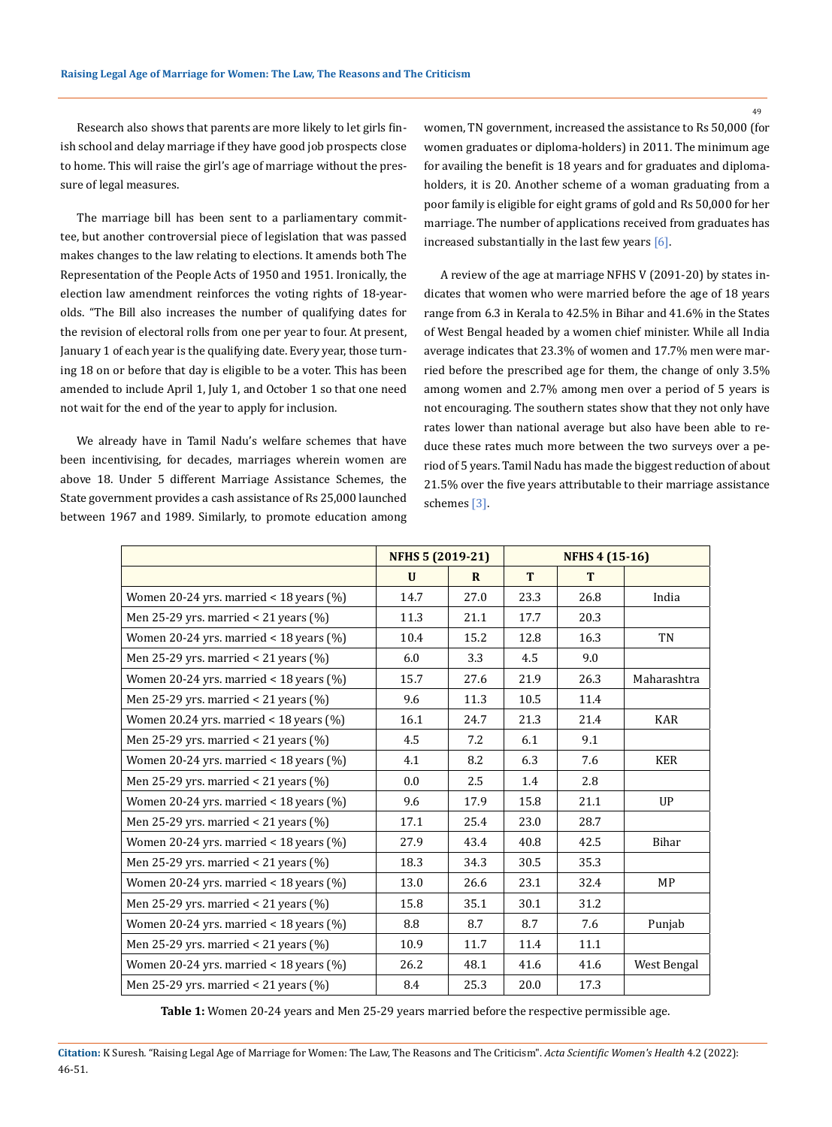49

Research also shows that parents are more likely to let girls finish school and delay marriage if they have good job prospects close to home. This will raise the girl's age of marriage without the pressure of legal measures.

The marriage bill has been sent to a parliamentary committee, but another controversial piece of legislation that was passed makes changes to the law relating to elections. It amends both The Representation of the People Acts of 1950 and 1951. Ironically, the election law amendment reinforces the voting rights of 18-yearolds. "The Bill also increases the number of qualifying dates for the revision of electoral rolls from one per year to four. At present, January 1 of each year is the qualifying date. Every year, those turning 18 on or before that day is eligible to be a voter. This has been amended to include April 1, July 1, and October 1 so that one need not wait for the end of the year to apply for inclusion.

We already have in Tamil Nadu's welfare schemes that have been incentivising, for decades, marriages wherein women are above 18. Under 5 different Marriage Assistance Schemes, the State government provides a cash assistance of Rs 25,000 launched between 1967 and 1989. Similarly, to promote education among women, TN government, increased the assistance to Rs 50,000 (for women graduates or diploma-holders) in 2011. The minimum age for availing the benefit is 18 years and for graduates and diplomaholders, it is 20. Another scheme of a woman graduating from a poor family is eligible for eight grams of gold and Rs 50,000 for her marriage. The number of applications received from graduates has increased substantially in the last few years [6].

A review of the age at marriage NFHS V (2091-20) by states indicates that women who were married before the age of 18 years range from 6.3 in Kerala to 42.5% in Bihar and 41.6% in the States of West Bengal headed by a women chief minister. While all India average indicates that 23.3% of women and 17.7% men were married before the prescribed age for them, the change of only 3.5% among women and 2.7% among men over a period of 5 years is not encouraging. The southern states show that they not only have rates lower than national average but also have been able to reduce these rates much more between the two surveys over a period of 5 years. Tamil Nadu has made the biggest reduction of about 21.5% over the five years attributable to their marriage assistance schemes [3].

|              |              |                         |      | <b>NFHS 4 (15-16)</b> |  |
|--------------|--------------|-------------------------|------|-----------------------|--|
| $\mathbf{U}$ | $\mathbf{R}$ | T                       | T    |                       |  |
| 14.7         | 27.0         | 23.3                    | 26.8 | India                 |  |
| 11.3         | 21.1         | 17.7                    | 20.3 |                       |  |
| 10.4         | 15.2         | 12.8                    | 16.3 | <b>TN</b>             |  |
| 6.0          | 3.3          | 4.5                     | 9.0  |                       |  |
| 15.7         | 27.6         | 21.9                    | 26.3 | Maharashtra           |  |
| 9.6          | 11.3         | 10.5                    | 11.4 |                       |  |
| 16.1         | 24.7         | 21.3                    | 21.4 | <b>KAR</b>            |  |
| 4.5          | 7.2          | 6.1                     | 9.1  |                       |  |
| 4.1          | 8.2          | 6.3                     | 7.6  | <b>KER</b>            |  |
| 0.0          | 2.5          | 1.4                     | 2.8  |                       |  |
| 9.6          | 17.9         | 15.8                    | 21.1 | UP                    |  |
| 17.1         | 25.4         | 23.0                    | 28.7 |                       |  |
| 27.9         | 43.4         | 40.8                    | 42.5 | Bihar                 |  |
| 18.3         | 34.3         | 30.5                    | 35.3 |                       |  |
| 13.0         | 26.6         | 23.1                    | 32.4 | MP                    |  |
| 15.8         | 35.1         | 30.1                    | 31.2 |                       |  |
| 8.8          | 8.7          | 8.7                     | 7.6  | Punjab                |  |
| 10.9         | 11.7         | 11.4                    | 11.1 |                       |  |
| 26.2         | 48.1         | 41.6                    | 41.6 | West Bengal           |  |
| 8.4          | 25.3         | 20.0                    | 17.3 |                       |  |
|              |              | <b>NFHS 5 (2019-21)</b> |      |                       |  |

**Table 1:** Women 20-24 years and Men 25-29 years married before the respective permissible age.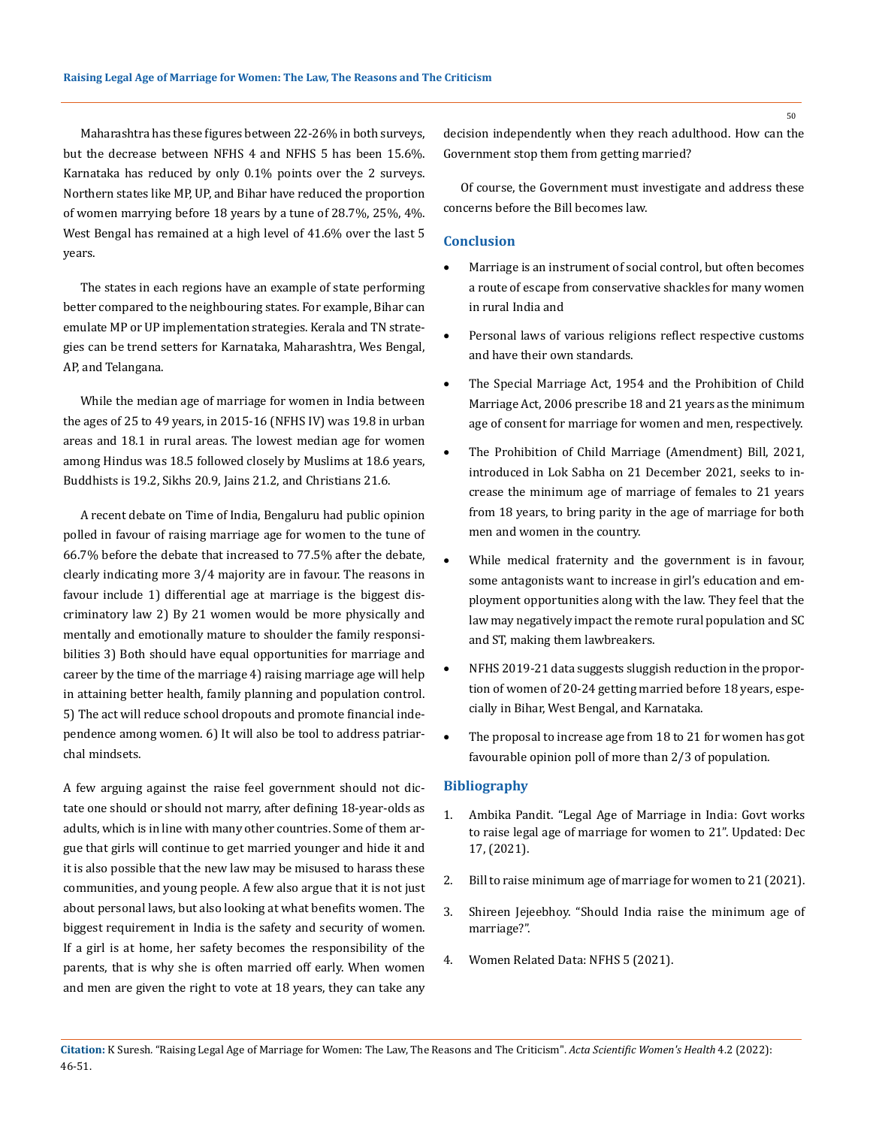Maharashtra has these figures between 22-26% in both surveys, but the decrease between NFHS 4 and NFHS 5 has been 15.6%. Karnataka has reduced by only 0.1% points over the 2 surveys. Northern states like MP, UP, and Bihar have reduced the proportion of women marrying before 18 years by a tune of 28.7%, 25%, 4%. West Bengal has remained at a high level of 41.6% over the last 5 years.

The states in each regions have an example of state performing better compared to the neighbouring states. For example, Bihar can emulate MP or UP implementation strategies. Kerala and TN strategies can be trend setters for Karnataka, Maharashtra, Wes Bengal, AP, and Telangana.

While the median age of marriage for women in India between the ages of 25 to 49 years, in 2015-16 (NFHS IV) was 19.8 in urban areas and 18.1 in rural areas. The lowest median age for women among Hindus was 18.5 followed closely by Muslims at 18.6 years, Buddhists is 19.2, Sikhs 20.9, Jains 21.2, and Christians 21.6.

A recent debate on Time of India, Bengaluru had public opinion polled in favour of raising marriage age for women to the tune of 66.7% before the debate that increased to 77.5% after the debate, clearly indicating more 3/4 majority are in favour. The reasons in favour include 1) differential age at marriage is the biggest discriminatory law 2) By 21 women would be more physically and mentally and emotionally mature to shoulder the family responsibilities 3) Both should have equal opportunities for marriage and career by the time of the marriage 4) raising marriage age will help in attaining better health, family planning and population control. 5) The act will reduce school dropouts and promote financial independence among women. 6) It will also be tool to address patriarchal mindsets.

A few arguing against the raise feel government should not dictate one should or should not marry, after defining 18-year-olds as adults, which is in line with many other countries. Some of them argue that girls will continue to get married younger and hide it and it is also possible that the new law may be misused to harass these communities, and young people. A few also argue that it is not just about personal laws, but also looking at what benefits women. The biggest requirement in India is the safety and security of women. If a girl is at home, her safety becomes the responsibility of the parents, that is why she is often married off early. When women and men are given the right to vote at 18 years, they can take any

decision independently when they reach adulthood. How can the Government stop them from getting married?

Of course, the Government must investigate and address these concerns before the Bill becomes law.

# **Conclusion**

- Marriage is an instrument of social control, but often becomes a route of escape from conservative shackles for many women in rural India and
- Personal laws of various religions reflect respective customs and have their own standards.
- The Special Marriage Act, 1954 and the Prohibition of Child Marriage Act, 2006 prescribe 18 and 21 years as the minimum age of consent for marriage for women and men, respectively.
- The Prohibition of Child Marriage (Amendment) Bill, 2021, introduced in Lok Sabha on 21 December 2021, seeks to increase the minimum age of marriage of females to 21 years from 18 years, to bring parity in the age of marriage for both men and women in the country.
- While medical fraternity and the government is in favour, some antagonists want to increase in girl's education and employment opportunities along with the law. They feel that the law may negatively impact the remote rural population and SC and ST, making them lawbreakers.
- NFHS 2019-21 data suggests sluggish reduction in the proportion of women of 20-24 getting married before 18 years, especially in Bihar, West Bengal, and Karnataka.
- The proposal to increase age from 18 to 21 for women has got favourable opinion poll of more than 2/3 of population.

## **Bibliography**

- 1. [Ambika Pandit. "Legal Age of Marriage in India: Govt works](https://timesofindia.indiatimes.com/)  [to raise legal age of marriage for women to 21". Updated: Dec](https://timesofindia.indiatimes.com/) [17, \(2021\).](https://timesofindia.indiatimes.com/)
- 2. [Bill to raise minimum age of marriage for women to 21 \(2021\).](https://www.thenewsminute.com/)
- 3. Shireen Jejeebhoy. "Should India raise the minimum age of marriage?".
- 4. [Women Related Data: NFHS 5 \(2021\).](https://www.drishtiias.com)

50